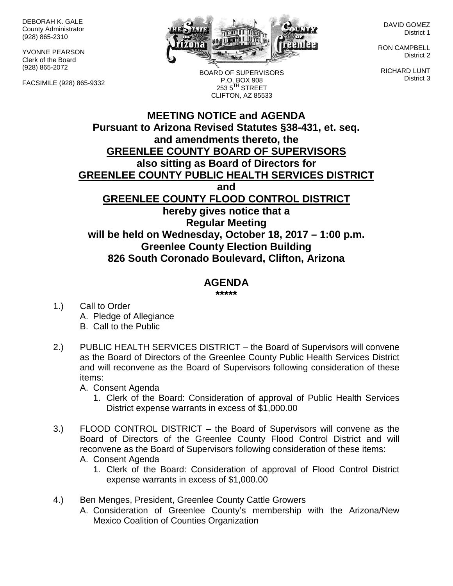DEBORAH K. GALE County Administrator (928) 865-2310

YVONNE PEARSON Clerk of the Board (928) 865-2072

FACSIMILE (928) 865-9332



BOARD OF SUPERVISORS P.O. BOX 908  $2535^{\text{TH}}$  STREET

DAVID GOMEZ District 1

RON CAMPBELL District 2

RICHARD LUNT District 3

**MEETING NOTICE and AGENDA Pursuant to Arizona Revised Statutes §38-431, et. seq. and amendments thereto, the GREENLEE COUNTY BOARD OF SUPERVISORS also sitting as Board of Directors for GREENLEE COUNTY PUBLIC HEALTH SERVICES DISTRICT and GREENLEE COUNTY FLOOD CONTROL DISTRICT hereby gives notice that a Regular Meeting will be held on Wednesday, October 18, 2017 – 1:00 p.m. Greenlee County Election Building 826 South Coronado Boulevard, Clifton, Arizona** CLIFTON, AZ 85533

## **AGENDA**

**\*\*\*\*\***

- 1.) Call to Order A. Pledge of Allegiance B. Call to the Public
- 2.) PUBLIC HEALTH SERVICES DISTRICT the Board of Supervisors will convene as the Board of Directors of the Greenlee County Public Health Services District and will reconvene as the Board of Supervisors following consideration of these items:

A. Consent Agenda

- 1. Clerk of the Board: Consideration of approval of Public Health Services District expense warrants in excess of \$1,000.00
- 3.) FLOOD CONTROL DISTRICT the Board of Supervisors will convene as the Board of Directors of the Greenlee County Flood Control District and will reconvene as the Board of Supervisors following consideration of these items: A. Consent Agenda
	- 1. Clerk of the Board: Consideration of approval of Flood Control District expense warrants in excess of \$1,000.00
- 4.) Ben Menges, President, Greenlee County Cattle Growers
	- A. Consideration of Greenlee County's membership with the Arizona/New Mexico Coalition of Counties Organization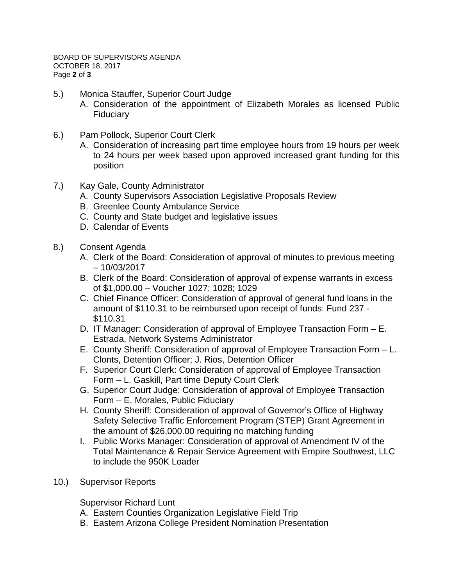- 5.) Monica Stauffer, Superior Court Judge
	- A. Consideration of the appointment of Elizabeth Morales as licensed Public Fiduciary
- 6.) Pam Pollock, Superior Court Clerk
	- A. Consideration of increasing part time employee hours from 19 hours per week to 24 hours per week based upon approved increased grant funding for this position
- 7.) Kay Gale, County Administrator
	- A. County Supervisors Association Legislative Proposals Review
	- B. Greenlee County Ambulance Service
	- C. County and State budget and legislative issues
	- D. Calendar of Events
- 8.) Consent Agenda
	- A. Clerk of the Board: Consideration of approval of minutes to previous meeting – 10/03/2017
	- B. Clerk of the Board: Consideration of approval of expense warrants in excess of \$1,000.00 – Voucher 1027; 1028; 1029
	- C. Chief Finance Officer: Consideration of approval of general fund loans in the amount of \$110.31 to be reimbursed upon receipt of funds: Fund 237 - \$110.31
	- D. IT Manager: Consideration of approval of Employee Transaction Form E. Estrada, Network Systems Administrator
	- E. County Sheriff: Consideration of approval of Employee Transaction Form L. Clonts, Detention Officer; J. Rios, Detention Officer
	- F. Superior Court Clerk: Consideration of approval of Employee Transaction Form – L. Gaskill, Part time Deputy Court Clerk
	- G. Superior Court Judge: Consideration of approval of Employee Transaction Form – E. Morales, Public Fiduciary
	- H. County Sheriff: Consideration of approval of Governor's Office of Highway Safety Selective Traffic Enforcement Program (STEP) Grant Agreement in the amount of \$26,000.00 requiring no matching funding
	- I. Public Works Manager: Consideration of approval of Amendment IV of the Total Maintenance & Repair Service Agreement with Empire Southwest, LLC to include the 950K Loader
- 10.) Supervisor Reports

Supervisor Richard Lunt

- A. Eastern Counties Organization Legislative Field Trip
- B. Eastern Arizona College President Nomination Presentation